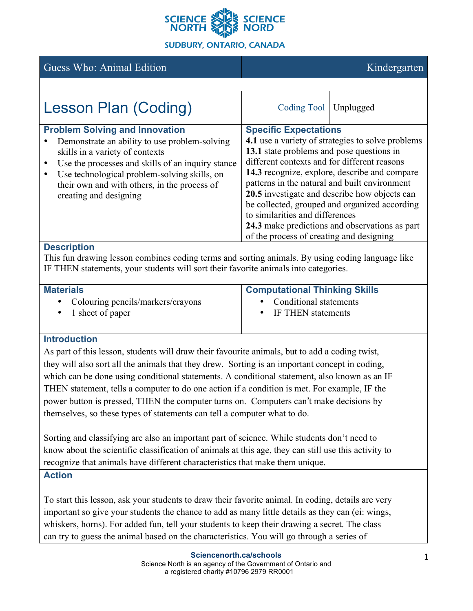

# Guess Who: Animal Edition Kindergarten Kindergarten

| <b>Lesson Plan (Coding)</b>                                                                                                                                                                                                                                                                              | Coding Tool   Unplugged                                                                                                                                                                                                                                                                                                                                                                                                                                                                                             |  |
|----------------------------------------------------------------------------------------------------------------------------------------------------------------------------------------------------------------------------------------------------------------------------------------------------------|---------------------------------------------------------------------------------------------------------------------------------------------------------------------------------------------------------------------------------------------------------------------------------------------------------------------------------------------------------------------------------------------------------------------------------------------------------------------------------------------------------------------|--|
| <b>Problem Solving and Innovation</b><br>Demonstrate an ability to use problem-solving<br>skills in a variety of contexts<br>Use the processes and skills of an inquiry stance<br>Use technological problem-solving skills, on<br>their own and with others, in the process of<br>creating and designing | <b>Specific Expectations</b><br>4.1 use a variety of strategies to solve problems<br>13.1 state problems and pose questions in<br>different contexts and for different reasons<br>14.3 recognize, explore, describe and compare<br>patterns in the natural and built environment<br>20.5 investigate and describe how objects can<br>be collected, grouped and organized according<br>to similarities and differences<br>24.3 make predictions and observations as part<br>of the process of creating and designing |  |
|                                                                                                                                                                                                                                                                                                          |                                                                                                                                                                                                                                                                                                                                                                                                                                                                                                                     |  |

### **Description**

This fun drawing lesson combines coding terms and sorting animals. By using coding language like IF THEN statements, your students will sort their favorite animals into categories.

| <b>Materials</b>                    | <b>Computational Thinking Skills</b> |  |
|-------------------------------------|--------------------------------------|--|
| • Colouring pencils/markers/crayons | • Conditional statements             |  |
| $\bullet$ 1 sheet of paper          | • IF THEN statements                 |  |

### **Introduction**

As part of this lesson, students will draw their favourite animals, but to add a coding twist, they will also sort all the animals that they drew. Sorting is an important concept in coding, which can be done using conditional statements. A conditional statement, also known as an IF THEN statement, tells a computer to do one action if a condition is met. For example, IF the power button is pressed, THEN the computer turns on. Computers can't make decisions by themselves, so these types of statements can tell a computer what to do.

Sorting and classifying are also an important part of science. While students don't need to know about the scientific classification of animals at this age, they can still use this activity to recognize that animals have different characteristics that make them unique.

#### **Action**

To start this lesson, ask your students to draw their favorite animal. In coding, details are very important so give your students the chance to add as many little details as they can (ei: wings, whiskers, horns). For added fun, tell your students to keep their drawing a secret. The class can try to guess the animal based on the characteristics. You will go through a series of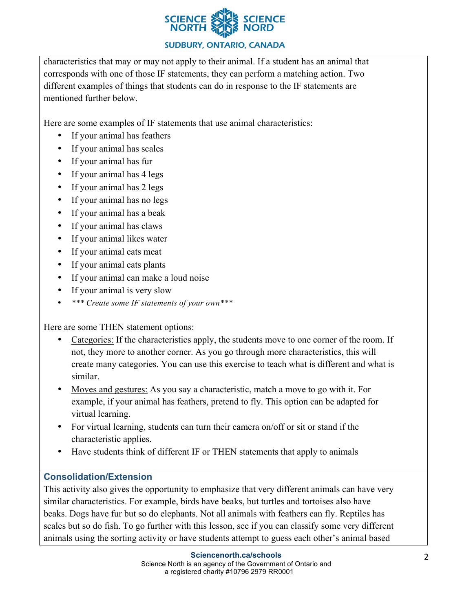

#### **SUDBURY, ONTARIO, CANADA**

characteristics that may or may not apply to their animal. If a student has an animal that corresponds with one of those IF statements, they can perform a matching action. Two different examples of things that students can do in response to the IF statements are mentioned further below.

Here are some examples of IF statements that use animal characteristics:

- If your animal has feathers
- If your animal has scales
- If your animal has fur
- If your animal has 4 legs
- If your animal has 2 legs
- If your animal has no legs
- If your animal has a beak
- If your animal has claws
- If your animal likes water
- If your animal eats meat
- If your animal eats plants
- If your animal can make a loud noise
- If your animal is very slow
- *\*\*\* Create some IF statements of your own\*\*\**

Here are some THEN statement options:

- Categories: If the characteristics apply, the students move to one corner of the room. If not, they more to another corner. As you go through more characteristics, this will create many categories. You can use this exercise to teach what is different and what is similar.
- Moves and gestures: As you say a characteristic, match a move to go with it. For example, if your animal has feathers, pretend to fly. This option can be adapted for virtual learning.
- For virtual learning, students can turn their camera on/off or sit or stand if the characteristic applies.
- Have students think of different IF or THEN statements that apply to animals

## **Consolidation/Extension**

This activity also gives the opportunity to emphasize that very different animals can have very similar characteristics. For example, birds have beaks, but turtles and tortoises also have beaks. Dogs have fur but so do elephants. Not all animals with feathers can fly. Reptiles has scales but so do fish. To go further with this lesson, see if you can classify some very different animals using the sorting activity or have students attempt to guess each other's animal based